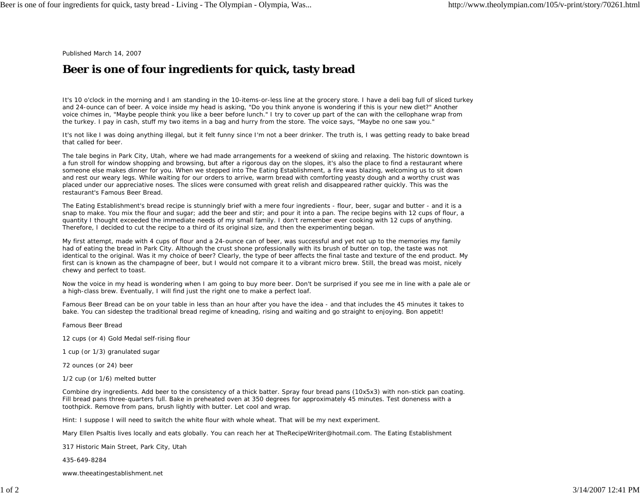Published March 14, 2007

## **Beer is one of four ingredients for quick, tasty bread**

It's 10 o'clock in the morning and I am standing in the 10-items-or-less line at the grocery store. I have a deli bag full of sliced turkey and 24-ounce can of beer. A voice inside my head is asking, "Do you think anyone is wondering if this is your new diet?" Another voice chimes in, "Maybe people think you like a beer before lunch." I try to cover up part of the can with the cellophane wrap from the turkey. I pay in cash, stuff my two items in a bag and hurry from the store. The voice says, "Maybe no one saw you."

It's not like I was doing anything illegal, but it felt funny since I'm not a beer drinker. The truth is, I was getting ready to bake bread that called for beer.

The tale begins in Park City, Utah, where we had made arrangements for a weekend of skiing and relaxing. The historic downtown is a fun stroll for window shopping and browsing, but after a rigorous day on the slopes, it's also the place to find a restaurant where someone else makes dinner for you. When we stepped into The Eating Establishment, a fire was blazing, welcoming us to sit down and rest our weary legs. While waiting for our orders to arrive, warm bread with comforting yeasty dough and a worthy crust was placed under our appreciative noses. The slices were consumed with great relish and disappeared rather quickly. This was the restaurant's Famous Beer Bread.

The Eating Establishment's bread recipe is stunningly brief with a mere four ingredients - flour, beer, sugar and butter - and it is a snap to make. You mix the flour and sugar; add the beer and stir; and pour it into a pan. The recipe begins with 12 cups of flour, a quantity I thought exceeded the immediate needs of my small family. I don't remember ever cooking with 12 cups of anything. Therefore, I decided to cut the recipe to a third of its original size, and then the experimenting began.

My first attempt, made with 4 cups of flour and a 24-ounce can of beer, was successful and yet not up to the memories my family had of eating the bread in Park City. Although the crust shone professionally with its brush of butter on top, the taste was not identical to the original. Was it my choice of beer? Clearly, the type of beer affects the final taste and texture of the end product. My first can is known as the champagne of beer, but I would not compare it to a vibrant micro brew. Still, the bread was moist, nicely chewy and perfect to toast.

Now the voice in my head is wondering when I am going to buy more beer. Don't be surprised if you see me in line with a pale ale or a high-class brew. Eventually, I will find just the right one to make a perfect loaf.

Famous Beer Bread can be on your table in less than an hour after you have the idea - and that includes the 45 minutes it takes to bake. You can sidestep the traditional bread regime of kneading, rising and waiting and go straight to enjoying. Bon appetit!

Famous Beer Bread

12 cups (or 4) Gold Medal self-rising flour

1 cup (or 1/3) granulated sugar

72 ounces (or 24) beer

1/2 cup (or 1/6) melted butter

Combine dry ingredients. Add beer to the consistency of a thick batter. Spray four bread pans (10x5x3) with non-stick pan coating. Fill bread pans three-quarters full. Bake in preheated oven at 350 degrees for approximately 45 minutes. Test doneness with a toothpick. Remove from pans, brush lightly with butter. Let cool and wrap.

Hint: I suppose I will need to switch the white flour with whole wheat. That will be my next experiment.

Mary Ellen Psaltis lives locally and eats globally. You can reach her at TheRecipeWriter@hotmail.com. The Eating Establishment

317 Historic Main Street, Park City, Utah

435-649-8284

www.theeatingestablishment.net